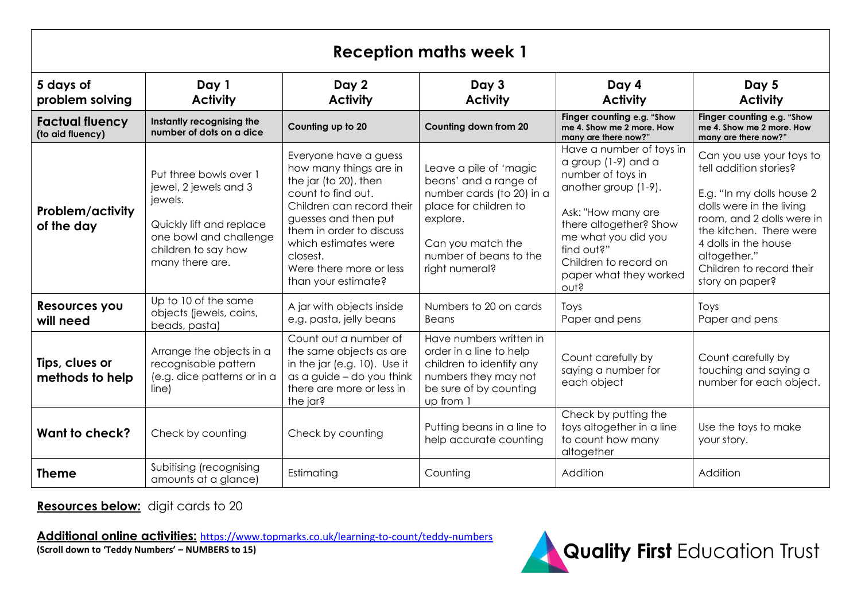| <b>Reception maths week 1</b>              |                                                                                                                                                            |                                                                                                                                                                                                                                                                       |                                                                                                                                                                                    |                                                                                                                                                                                                                                                |                                                                                                                                                                                                                                                            |  |  |  |
|--------------------------------------------|------------------------------------------------------------------------------------------------------------------------------------------------------------|-----------------------------------------------------------------------------------------------------------------------------------------------------------------------------------------------------------------------------------------------------------------------|------------------------------------------------------------------------------------------------------------------------------------------------------------------------------------|------------------------------------------------------------------------------------------------------------------------------------------------------------------------------------------------------------------------------------------------|------------------------------------------------------------------------------------------------------------------------------------------------------------------------------------------------------------------------------------------------------------|--|--|--|
| 5 days of<br>problem solving               | Day 1<br><b>Activity</b>                                                                                                                                   | Day 2<br><b>Activity</b>                                                                                                                                                                                                                                              | Day 3<br><b>Activity</b>                                                                                                                                                           | Day 4<br><b>Activity</b>                                                                                                                                                                                                                       | Day 5<br><b>Activity</b>                                                                                                                                                                                                                                   |  |  |  |
| <b>Factual fluency</b><br>(to aid fluency) | Instantly recognising the<br>number of dots on a dice                                                                                                      | Counting up to 20                                                                                                                                                                                                                                                     | Counting down from 20                                                                                                                                                              | Finger counting e.g. "Show<br>me 4. Show me 2 more. How<br>many are there now?"                                                                                                                                                                | Finger counting e.g. "Show<br>me 4. Show me 2 more. How<br>many are there now?"                                                                                                                                                                            |  |  |  |
| <b>Problem/activity</b><br>of the day      | Put three bowls over 1<br>jewel, 2 jewels and 3<br>jewels.<br>Quickly lift and replace<br>one bowl and challenge<br>children to say how<br>many there are. | Everyone have a guess<br>how many things are in<br>the jar (to 20), then<br>count to find out.<br>Children can record their<br>guesses and then put<br>them in order to discuss<br>which estimates were<br>closest.<br>Were there more or less<br>than your estimate? | Leave a pile of 'magic<br>beans' and a range of<br>number cards (to 20) in a<br>place for children to<br>explore.<br>Can you match the<br>number of beans to the<br>right numeral? | Have a number of toys in<br>a group $(1-9)$ and a<br>number of toys in<br>another group (1-9).<br>Ask: "How many are<br>there altogether? Show<br>me what you did you<br>find out?"<br>Children to record on<br>paper what they worked<br>out? | Can you use your toys to<br>tell addition stories?<br>E.g. "In my dolls house 2<br>dolls were in the living<br>room, and 2 dolls were in<br>the kitchen. There were<br>4 dolls in the house<br>altogether."<br>Children to record their<br>story on paper? |  |  |  |
| Resources you<br>will need                 | Up to 10 of the same<br>objects (jewels, coins,<br>beads, pasta)                                                                                           | A jar with objects inside<br>e.g. pasta, jelly beans                                                                                                                                                                                                                  | Numbers to 20 on cards<br>Beans                                                                                                                                                    | Toys<br>Paper and pens                                                                                                                                                                                                                         | Toys<br>Paper and pens                                                                                                                                                                                                                                     |  |  |  |
| Tips, clues or<br>methods to help          | Arrange the objects in a<br>recognisable pattern<br>(e.g. dice patterns or in a<br>line)                                                                   | Count out a number of<br>the same objects as are<br>in the jar (e.g. 10). Use it<br>as a guide $-$ do you think<br>there are more or less in<br>the jar?                                                                                                              | Have numbers written in<br>order in a line to help<br>children to identify any<br>numbers they may not<br>be sure of by counting<br>up from 1                                      | Count carefully by<br>saying a number for<br>each object                                                                                                                                                                                       | Count carefully by<br>touching and saying a<br>number for each object.                                                                                                                                                                                     |  |  |  |
| Want to check?                             | Check by counting                                                                                                                                          | Check by counting                                                                                                                                                                                                                                                     | Putting beans in a line to<br>help accurate counting                                                                                                                               | Check by putting the<br>toys altogether in a line<br>to count how many<br>altogether                                                                                                                                                           | Use the toys to make<br>your story.                                                                                                                                                                                                                        |  |  |  |
| <b>Theme</b>                               | Subitising (recognising<br>amounts at a glance)                                                                                                            | Estimating                                                                                                                                                                                                                                                            | Counting                                                                                                                                                                           | Addition                                                                                                                                                                                                                                       | Addition                                                                                                                                                                                                                                                   |  |  |  |

**Resources below:** digit cards to 20

**Additional online activities:** <https://www.topmarks.co.uk/learning-to-count/teddy-numbers> **(Scroll down to 'Teddy Numbers' – NUMBERS to 15)**

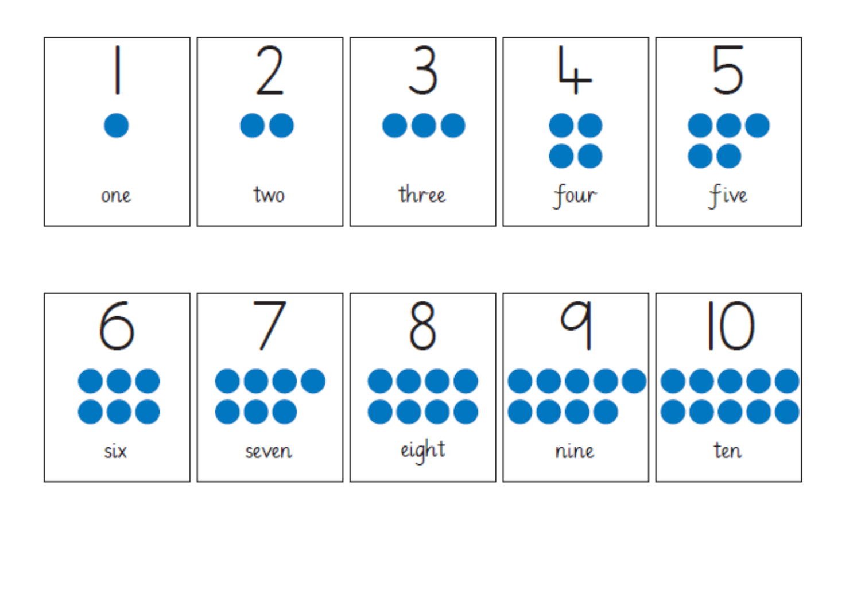|     | UU  | <b>000</b> | ) W  | 000<br>A Santa Bara |
|-----|-----|------------|------|---------------------|
| one | two | three      | tour | Five                |